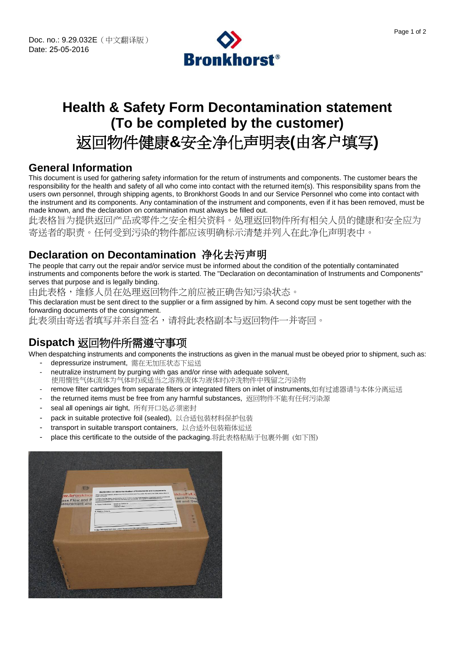

# **Health & Safety Form Decontamination statement (To be completed by the customer)**

# 返回物件健康**&**安全净化声明表**(**由客户填写**)**

#### **General Information**

This document is used for gathering safety information for the return of instruments and components. The customer bears the responsibility for the health and safety of all who come into contact with the returned item(s). This responsibility spans from the users own personnel, through shipping agents, to Bronkhorst Goods In and our Service Personnel who come into contact with the instrument and its components. Any contamination of the instrument and components, even if it has been removed, must be made known, and the declaration on contamination must always be filled out.

此表格旨为提供返回产品或零件之安全相关资料。处理返回物件所有相关人员的健康和安全应为 寄送者的职责。任何受到污染的物件都应该明确标示清楚并列入在此净化声明表中。

## **Declaration on Decontamination** 净化去污声明

The people that carry out the repair and/or service must be informed about the condition of the potentially contaminated instruments and components before the work is started. The "Declaration on decontamination of Instruments and Components" serves that purpose and is legally binding.

由此表格,维修人员在处理返回物件之前应被正确告知污染状态。

This declaration must be sent direct to the supplier or a firm assigned by him. A second copy must be sent together with the forwarding documents of the consignment.

此表须由寄送者填写并亲自签名,请将此表格副本与返回物件一并寄回。

## **Dispatch** 返回物件所需遵守事项

When despatching instruments and components the instructions as given in the manual must be obeyed prior to shipment, such as: - depressurize instrument, 需在无加压状态下运送

- neutralize instrument by purging with gas and/or rinse with adequate solvent, 使用惰性气体(流体为气体时)或适当之溶剂(流体为液体时)冲洗物件中残留之污染物
- remove filter cartridges from separate filters or integrated filters on inlet of instruments,如有过滤器请与本体分离运送
- the returned items must be free from any harmful substances, 返回物件不能有任何污染源
- seal all openings air tight, 所有开口处必须密封
- pack in suitable protective foil (sealed), 以合适包装材料保护包装
- transport in suitable transport containers, 以合适外包装箱体运送
- place this certificate to the outside of the packaging.将此表格粘贴于包裹外侧 (如下图)